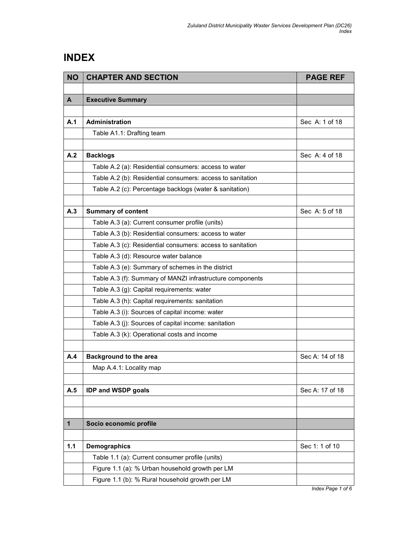## INDEX

| <b>NO</b> | <b>CHAPTER AND SECTION</b>                                 | <b>PAGE REF</b> |
|-----------|------------------------------------------------------------|-----------------|
|           |                                                            |                 |
| A         | <b>Executive Summary</b>                                   |                 |
|           |                                                            |                 |
| A.1       | Administration                                             | Sec A: 1 of 18  |
|           | Table A1.1: Drafting team                                  |                 |
|           |                                                            |                 |
| A.2       | <b>Backlogs</b>                                            | Sec A: 4 of 18  |
|           | Table A.2 (a): Residential consumers: access to water      |                 |
|           | Table A.2 (b): Residential consumers: access to sanitation |                 |
|           | Table A.2 (c): Percentage backlogs (water & sanitation)    |                 |
|           |                                                            |                 |
| A.3       | <b>Summary of content</b>                                  | Sec A: 5 of 18  |
|           | Table A.3 (a): Current consumer profile (units)            |                 |
|           | Table A.3 (b): Residential consumers: access to water      |                 |
|           | Table A.3 (c): Residential consumers: access to sanitation |                 |
|           | Table A.3 (d): Resource water balance                      |                 |
|           | Table A.3 (e): Summary of schemes in the district          |                 |
|           | Table A.3 (f): Summary of MANZI infrastructure components  |                 |
|           | Table A.3 (g): Capital requirements: water                 |                 |
|           | Table A.3 (h): Capital requirements: sanitation            |                 |
|           | Table A.3 (i): Sources of capital income: water            |                 |
|           | Table A.3 (j): Sources of capital income: sanitation       |                 |
|           | Table A.3 (k): Operational costs and income                |                 |
|           |                                                            |                 |
| A.4       | <b>Background to the area</b>                              | Sec A: 14 of 18 |
|           | Map A.4.1: Locality map                                    |                 |
|           |                                                            |                 |
| A.5       | <b>IDP and WSDP goals</b>                                  | Sec A: 17 of 18 |
|           |                                                            |                 |
|           |                                                            |                 |
| 1         | Socio economic profile                                     |                 |
|           |                                                            |                 |
| 1.1       | <b>Demographics</b>                                        | Sec 1: 1 of 10  |
|           | Table 1.1 (a): Current consumer profile (units)            |                 |
|           | Figure 1.1 (a): % Urban household growth per LM            |                 |
|           | Figure 1.1 (b): % Rural household growth per LM            |                 |

Index Page 1 of 6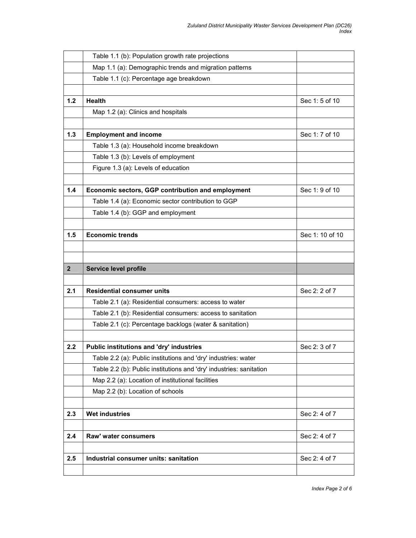|                | Table 1.1 (b): Population growth rate projections                   |                 |
|----------------|---------------------------------------------------------------------|-----------------|
|                | Map 1.1 (a): Demographic trends and migration patterns              |                 |
|                | Table 1.1 (c): Percentage age breakdown                             |                 |
|                |                                                                     |                 |
| $1.2$          | Health                                                              | Sec 1:5 of 10   |
|                | Map 1.2 (a): Clinics and hospitals                                  |                 |
|                |                                                                     |                 |
| 1.3            | <b>Employment and income</b>                                        | Sec 1: 7 of 10  |
|                | Table 1.3 (a): Household income breakdown                           |                 |
|                | Table 1.3 (b): Levels of employment                                 |                 |
|                | Figure 1.3 (a): Levels of education                                 |                 |
|                |                                                                     |                 |
| 1.4            | Economic sectors, GGP contribution and employment                   | Sec 1: 9 of 10  |
|                | Table 1.4 (a): Economic sector contribution to GGP                  |                 |
|                | Table 1.4 (b): GGP and employment                                   |                 |
|                |                                                                     |                 |
| 1.5            | <b>Economic trends</b>                                              | Sec 1: 10 of 10 |
|                |                                                                     |                 |
|                |                                                                     |                 |
|                |                                                                     |                 |
| $\overline{2}$ | Service level profile                                               |                 |
|                |                                                                     |                 |
| 2.1            | <b>Residential consumer units</b>                                   | Sec 2: 2 of 7   |
|                | Table 2.1 (a): Residential consumers: access to water               |                 |
|                | Table 2.1 (b): Residential consumers: access to sanitation          |                 |
|                | Table 2.1 (c): Percentage backlogs (water & sanitation)             |                 |
|                |                                                                     |                 |
| 2.2            | Public institutions and 'dry' industries                            | Sec 2: 3 of 7   |
|                | Table 2.2 (a): Public institutions and 'dry' industries: water      |                 |
|                | Table 2.2 (b): Public institutions and 'dry' industries: sanitation |                 |
|                | Map 2.2 (a): Location of institutional facilities                   |                 |
|                | Map 2.2 (b): Location of schools                                    |                 |
|                |                                                                     |                 |
| 2.3            | <b>Wet industries</b>                                               | Sec 2: 4 of 7   |
|                |                                                                     |                 |
| 2.4            | Raw' water consumers                                                | Sec 2: 4 of 7   |
|                |                                                                     |                 |
| 2.5            | Industrial consumer units: sanitation                               | Sec 2: 4 of 7   |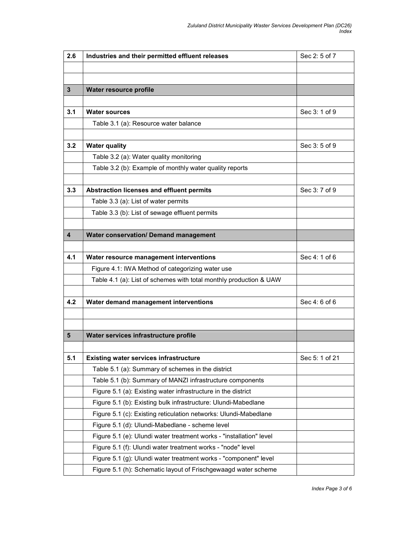| 2.6                     | Industries and their permitted effluent releases                    | Sec 2: 5 of 7  |
|-------------------------|---------------------------------------------------------------------|----------------|
|                         |                                                                     |                |
|                         |                                                                     |                |
| 3                       | Water resource profile                                              |                |
|                         |                                                                     |                |
| 3.1                     | <b>Water sources</b>                                                | Sec 3: 1 of 9  |
|                         | Table 3.1 (a): Resource water balance                               |                |
|                         |                                                                     |                |
| 3.2                     | <b>Water quality</b>                                                | Sec 3:5 of 9   |
|                         | Table 3.2 (a): Water quality monitoring                             |                |
|                         | Table 3.2 (b): Example of monthly water quality reports             |                |
|                         |                                                                     |                |
| 3.3                     | Abstraction licenses and effluent permits                           | Sec 3: 7 of 9  |
|                         | Table 3.3 (a): List of water permits                                |                |
|                         | Table 3.3 (b): List of sewage effluent permits                      |                |
|                         |                                                                     |                |
| $\overline{\mathbf{4}}$ | <b>Water conservation/ Demand management</b>                        |                |
|                         |                                                                     |                |
| 4.1                     | Water resource management interventions                             | Sec 4: 1 of 6  |
|                         | Figure 4.1: IWA Method of categorizing water use                    |                |
|                         | Table 4.1 (a): List of schemes with total monthly production & UAW  |                |
|                         |                                                                     |                |
| 4.2                     | Water demand management interventions                               | Sec 4: 6 of 6  |
|                         |                                                                     |                |
|                         |                                                                     |                |
| 5                       | Water services infrastructure profile                               |                |
|                         |                                                                     |                |
| 5.1                     | <b>Existing water services infrastructure</b>                       | Sec 5: 1 of 21 |
|                         | Table 5.1 (a): Summary of schemes in the district                   |                |
|                         | Table 5.1 (b): Summary of MANZI infrastructure components           |                |
|                         | Figure 5.1 (a): Existing water infrastructure in the district       |                |
|                         | Figure 5.1 (b): Existing bulk infrastructure: Ulundi-Mabedlane      |                |
|                         | Figure 5.1 (c): Existing reticulation networks: Ulundi-Mabedlane    |                |
|                         | Figure 5.1 (d): Ulundi-Mabedlane - scheme level                     |                |
|                         | Figure 5.1 (e): Ulundi water treatment works - "installation" level |                |
|                         | Figure 5.1 (f): Ulundi water treatment works - "node" level         |                |
|                         | Figure 5.1 (g): Ulundi water treatment works - "component" level    |                |
|                         | Figure 5.1 (h): Schematic layout of Frischgewaagd water scheme      |                |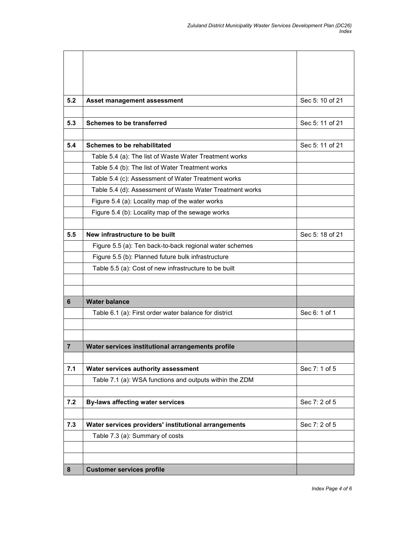| 5.2 | Asset management assessment                              | Sec 5: 10 of 21 |
|-----|----------------------------------------------------------|-----------------|
|     |                                                          |                 |
| 5.3 | <b>Schemes to be transferred</b>                         | Sec 5: 11 of 21 |
|     |                                                          |                 |
| 5.4 | <b>Schemes to be rehabilitated</b>                       | Sec 5: 11 of 21 |
|     | Table 5.4 (a): The list of Waste Water Treatment works   |                 |
|     | Table 5.4 (b): The list of Water Treatment works         |                 |
|     | Table 5.4 (c): Assessment of Water Treatment works       |                 |
|     | Table 5.4 (d): Assessment of Waste Water Treatment works |                 |
|     | Figure 5.4 (a): Locality map of the water works          |                 |
|     | Figure 5.4 (b): Locality map of the sewage works         |                 |
|     |                                                          |                 |
| 5.5 | New infrastructure to be built                           | Sec 5: 18 of 21 |
|     | Figure 5.5 (a): Ten back-to-back regional water schemes  |                 |
|     | Figure 5.5 (b): Planned future bulk infrastructure       |                 |
|     | Table 5.5 (a): Cost of new infrastructure to be built    |                 |
|     |                                                          |                 |
|     |                                                          |                 |
| 6   | <b>Water balance</b>                                     |                 |
|     | Table 6.1 (a): First order water balance for district    | Sec 6: 1 of 1   |
|     |                                                          |                 |
|     |                                                          |                 |
| 7   | Water services institutional arrangements profile        |                 |
|     |                                                          |                 |
| 7.1 | Water services authority assessment                      | Sec 7: 1 of 5   |
|     | Table 7.1 (a): WSA functions and outputs within the ZDM  |                 |
|     |                                                          |                 |
| 7.2 | <b>By-laws affecting water services</b>                  | Sec 7: 2 of 5   |
|     |                                                          |                 |
| 7.3 | Water services providers' institutional arrangements     | Sec 7: 2 of 5   |
|     | Table 7.3 (a): Summary of costs                          |                 |
|     |                                                          |                 |
|     |                                                          |                 |
| 8   | <b>Customer services profile</b>                         |                 |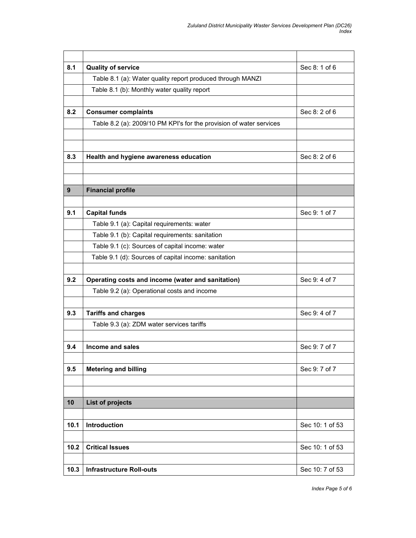| 8.1  | <b>Quality of service</b>                                           | Sec 8: 1 of 6   |
|------|---------------------------------------------------------------------|-----------------|
|      | Table 8.1 (a): Water quality report produced through MANZI          |                 |
|      | Table 8.1 (b): Monthly water quality report                         |                 |
|      |                                                                     |                 |
| 8.2  | <b>Consumer complaints</b>                                          | Sec 8: 2 of 6   |
|      | Table 8.2 (a): 2009/10 PM KPI's for the provision of water services |                 |
|      |                                                                     |                 |
|      |                                                                     |                 |
| 8.3  | Health and hygiene awareness education                              | Sec 8: 2 of 6   |
|      |                                                                     |                 |
|      |                                                                     |                 |
| 9    | <b>Financial profile</b>                                            |                 |
|      |                                                                     |                 |
| 9.1  | <b>Capital funds</b>                                                | Sec 9: 1 of 7   |
|      | Table 9.1 (a): Capital requirements: water                          |                 |
|      | Table 9.1 (b): Capital requirements: sanitation                     |                 |
|      | Table 9.1 (c): Sources of capital income: water                     |                 |
|      | Table 9.1 (d): Sources of capital income: sanitation                |                 |
|      |                                                                     |                 |
| 9.2  | Operating costs and income (water and sanitation)                   | Sec 9:4 of 7    |
|      | Table 9.2 (a): Operational costs and income                         |                 |
|      |                                                                     |                 |
| 9.3  | <b>Tariffs and charges</b>                                          | Sec 9: 4 of 7   |
|      | Table 9.3 (a): ZDM water services tariffs                           |                 |
| 9.4  | Income and sales                                                    | Sec 9: 7 of 7   |
|      |                                                                     |                 |
| 9.5  | <b>Metering and billing</b>                                         | Sec 9: 7 of 7   |
|      |                                                                     |                 |
|      |                                                                     |                 |
| 10   | <b>List of projects</b>                                             |                 |
|      |                                                                     |                 |
| 10.1 | Introduction                                                        | Sec 10: 1 of 53 |
|      |                                                                     |                 |
| 10.2 | <b>Critical Issues</b>                                              | Sec 10: 1 of 53 |
|      |                                                                     |                 |
| 10.3 | <b>Infrastructure Roll-outs</b>                                     | Sec 10: 7 of 53 |